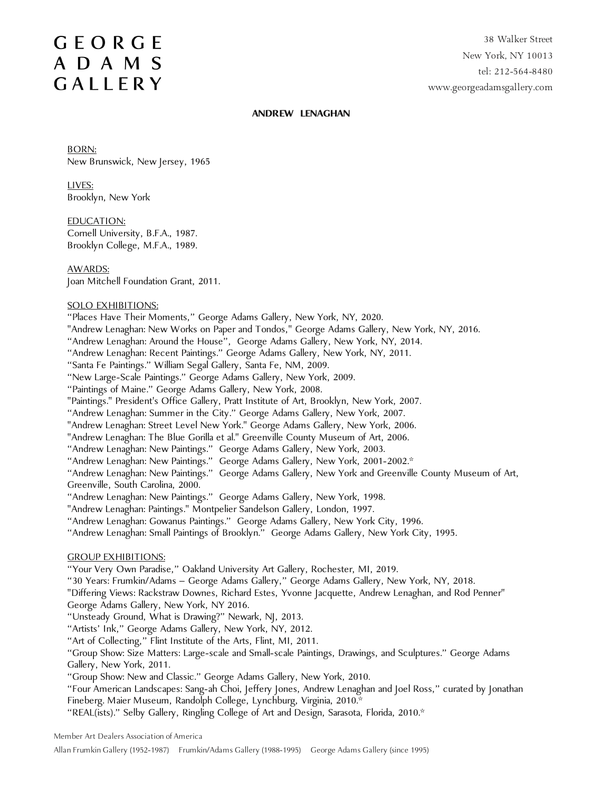38 Walker Street New York, NY 10013 tel: 212-564-8480 www.georgeadamsgallery.com

#### **ANDREW LENAGHAN**

BORN: New Brunswick, New Jersey, 1965

LIVES: Brooklyn, New York

EDUCATION: Cornell University, B.F.A., 1987. Brooklyn College, M.F.A., 1989.

AWARDS:

Joan Mitchell Foundation Grant, 2011.

### SOLO EXHIBITIONS:

"Places Have Their Moments," George Adams Gallery, New York, NY, 2020.

"Andrew Lenaghan: New Works on Paper and Tondos," George Adams Gallery, New York, NY, 2016.

"Andrew Lenaghan: Around the House", George Adams Gallery, New York, NY, 2014.

"Andrew Lenaghan: Recent Paintings." George Adams Gallery, New York, NY, 2011.

"Santa Fe Paintings." William Segal Gallery, Santa Fe, NM, 2009.

"New Large-Scale Paintings." George Adams Gallery, New York, 2009.

"Paintings of Maine." George Adams Gallery, New York, 2008.

"Paintings." President's Office Gallery, Pratt Institute of Art, Brooklyn, New York, 2007.

"Andrew Lenaghan: Summer in the City." George Adams Gallery, New York, 2007.

"Andrew Lenaghan: Street Level New York." George Adams Gallery, New York, 2006.

"Andrew Lenaghan: The Blue Gorilla et al." Greenville County Museum of Art, 2006.

"Andrew Lenaghan: New Paintings." George Adams Gallery, New York, 2003.

"Andrew Lenaghan: New Paintings." George Adams Gallery, New York, 2001-2002.\*

"Andrew Lenaghan: New Paintings." George Adams Gallery, New York and Greenville County Museum of Art, Greenville, South Carolina, 2000.

"Andrew Lenaghan: New Paintings." George Adams Gallery, New York, 1998.

"Andrew Lenaghan: Paintings." Montpelier Sandelson Gallery, London, 1997.

"Andrew Lenaghan: Gowanus Paintings." George Adams Gallery, New York City, 1996.

"Andrew Lenaghan: Small Paintings of Brooklyn." George Adams Gallery, New York City, 1995.

#### GROUP EXHIBITIONS:

"Your Very Own Paradise," Oakland University Art Gallery, Rochester, MI, 2019.

"30 Years: Frumkin/Adams – George Adams Gallery," George Adams Gallery, New York, NY, 2018.

"Differing Views: Rackstraw Downes, Richard Estes, Yvonne Jacquette, Andrew Lenaghan, and Rod Penner" George Adams Gallery, New York, NY 2016.

"Unsteady Ground, What is Drawing?" Newark, NJ, 2013.

"Artists' Ink," George Adams Gallery, New York, NY, 2012.

"Art of Collecting," Flint Institute of the Arts, Flint, MI, 2011.

"Group Show: Size Matters: Large-scale and Small-scale Paintings, Drawings, and Sculptures." George Adams Gallery, New York, 2011.

"Group Show: New and Classic." George Adams Gallery, New York, 2010.

"Four American Landscapes: Sang-ah Choi, Jeffery Jones, Andrew Lenaghan and Joel Ross," curated by Jonathan Fineberg. Maier Museum, Randolph College, Lynchburg, Virginia, 2010.\*

"REAL(ists)." Selby Gallery, Ringling College of Art and Design, Sarasota, Florida, 2010.\*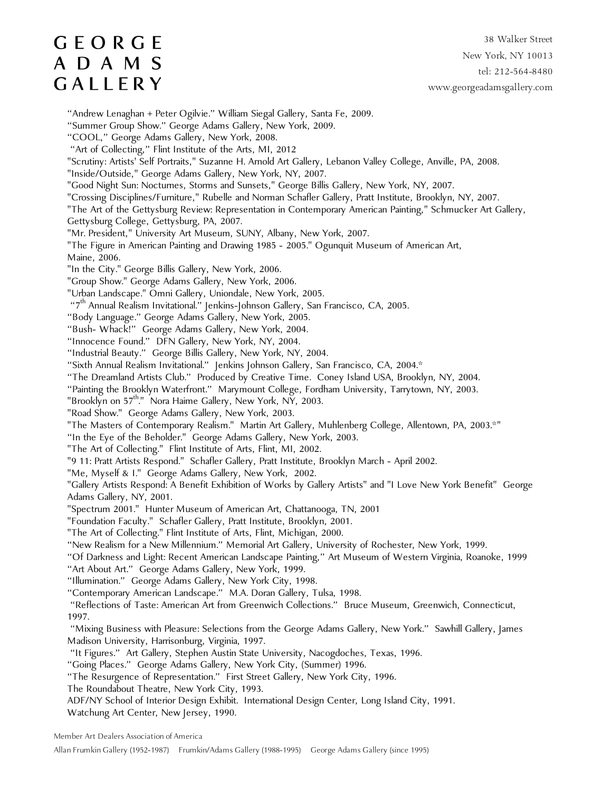38 Walker Street New York, NY 10013 tel: 212-564-8480 www.georgeadamsgallery.com

"Andrew Lenaghan + Peter Ogilvie." William Siegal Gallery, Santa Fe, 2009. "Summer Group Show." George Adams Gallery, New York, 2009. "COOL," George Adams Gallery, New York, 2008. "Art of Collecting," Flint Institute of the Arts, MI, 2012 "Scrutiny: Artists' Self Portraits," Suzanne H. Arnold Art Gallery, Lebanon Valley College, Anville, PA, 2008. "Inside/Outside," George Adams Gallery, New York, NY, 2007. "Good Night Sun: Nocturnes, Storms and Sunsets," George Billis Gallery, New York, NY, 2007. "Crossing Disciplines/Furniture," Rubelle and Norman Schafler Gallery, Pratt Institute, Brooklyn, NY, 2007. "The Art of the Gettysburg Review: Representation in Contemporary American Painting," Schmucker Art Gallery, Gettysburg College, Gettysburg, PA, 2007. "Mr. President," University Art Museum, SUNY, Albany, New York, 2007. "The Figure in American Painting and Drawing 1985 - 2005." Ogunquit Museum of American Art, Maine, 2006. "In the City." George Billis Gallery, New York, 2006. "Group Show." George Adams Gallery, New York, 2006. "Urban Landscape." Omni Gallery, Uniondale, New York, 2005. "7th Annual Realism Invitational." Jenkins-Johnson Gallery, San Francisco, CA, 2005. "Body Language." George Adams Gallery, New York, 2005. "Bush- Whack!" George Adams Gallery, New York, 2004. "Innocence Found." DFN Gallery, New York, NY, 2004. "Industrial Beauty." George Billis Gallery, New York, NY, 2004. "Sixth Annual Realism Invitational." Jenkins Johnson Gallery, San Francisco, CA, 2004.\* "The Dreamland Artists Club." Produced by Creative Time. Coney Island USA, Brooklyn, NY, 2004. "Painting the Brooklyn Waterfront." Marymount College, Fordham University, Tarrytown, NY, 2003. "Brooklyn on  $57<sup>th</sup>$ ." Nora Haime Gallery, New York, NY, 2003. "Road Show." George Adams Gallery, New York, 2003. "The Masters of Contemporary Realism." Martin Art Gallery, Muhlenberg College, Allentown, PA, 2003.\*" "In the Eye of the Beholder." George Adams Gallery, New York, 2003. "The Art of Collecting." Flint Institute of Arts, Flint, MI, 2002. "9 11: Pratt Artists Respond." Schafler Gallery, Pratt Institute, Brooklyn March - April 2002. "Me, Myself & I." George Adams Gallery, New York, 2002. "Gallery Artists Respond: A Benefit Exhibition of Works by Gallery Artists" and "I Love New York Benefit" George Adams Gallery, NY, 2001. "Spectrum 2001." Hunter Museum of American Art, Chattanooga, TN, 2001 "Foundation Faculty." Schafler Gallery, Pratt Institute, Brooklyn, 2001. "The Art of Collecting." Flint Institute of Arts, Flint, Michigan, 2000. "New Realism for a New Millennium." Memorial Art Gallery, University of Rochester, New York, 1999. "Of Darkness and Light: Recent American Landscape Painting," Art Museum of Western Virginia, Roanoke, 1999 "Art About Art." George Adams Gallery, New York, 1999. "Illumination." George Adams Gallery, New York City, 1998. "Contemporary American Landscape." M.A. Doran Gallery, Tulsa, 1998. "Reflections of Taste: American Art from Greenwich Collections." Bruce Museum, Greenwich, Connecticut, 1997. "Mixing Business with Pleasure: Selections from the George Adams Gallery, New York." Sawhill Gallery, James Madison University, Harrisonburg, Virginia, 1997. "It Figures." Art Gallery, Stephen Austin State University, Nacogdoches, Texas, 1996. "Going Places." George Adams Gallery, New York City, (Summer) 1996. "The Resurgence of Representation." First Street Gallery, New York City, 1996. The Roundabout Theatre, New York City, 1993. ADF/NY School of Interior Design Exhibit. International Design Center, Long Island City, 1991. Watchung Art Center, New Jersey, 1990.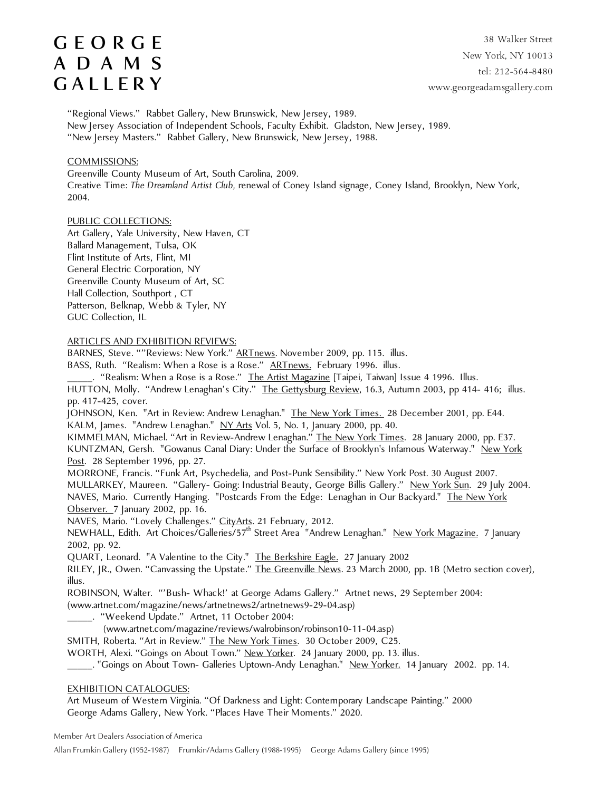38 Walker Street New York, NY 10013 tel: 212-564-8480 www.georgeadamsgallery.com

"Regional Views." Rabbet Gallery, New Brunswick, New Jersey, 1989. New Jersey Association of Independent Schools, Faculty Exhibit. Gladston, New Jersey, 1989. "New Jersey Masters." Rabbet Gallery, New Brunswick, New Jersey, 1988.

### COMMISSIONS:

Greenville County Museum of Art, South Carolina, 2009. Creative Time: *The Dreamland Artist Club,* renewal of Coney Island signage, Coney Island, Brooklyn, New York, 2004.

### PUBLIC COLLECTIONS:

Art Gallery, Yale University, New Haven, CT Ballard Management, Tulsa, OK Flint Institute of Arts, Flint, MI General Electric Corporation, NY Greenville County Museum of Art, SC Hall Collection, Southport , CT Patterson, Belknap, Webb & Tyler, NY GUC Collection, IL

#### ARTICLES AND EXHIBITION REVIEWS:

BARNES, Steve. ""Reviews: New York." **ARTnews**. November 2009, pp. 115. illus.

BASS, Ruth. "Realism: When a Rose is a Rose." **ARTnews.** February 1996. illus.

. "Realism: When a Rose is a Rose." <u>The Artist Magazine</u> [Taipei, Taiwan] Issue 4 1996. Illus. HUTTON, Molly. "Andrew Lenaghan's City." The Gettysburg Review, 16.3, Autumn 2003, pp 414- 416; illus. pp. 417-425, cover.

JOHNSON, Ken. "Art in Review: Andrew Lenaghan." The New York Times. 28 December 2001, pp. E44. KALM, James. "Andrew Lenaghan." NY Arts Vol. 5, No. 1, January 2000, pp. 40.

KIMMELMAN, Michael. "Art in Review-Andrew Lenaghan." The New York Times. 28 January 2000, pp. E37. KUNTZMAN, Gersh. "Gowanus Canal Diary: Under the Surface of Brooklyn's Infamous Waterway." New York Post. 28 September 1996, pp. 27.

MORRONE, Francis. "Funk Art, Psychedelia, and Post-Punk Sensibility." New York Post. 30 August 2007. MULLARKEY, Maureen. "Gallery- Going: Industrial Beauty, George Billis Gallery." New York Sun. 29 July 2004. NAVES, Mario. Currently Hanging. "Postcards From the Edge: Lenaghan in Our Backyard." <u>The New York</u> Observer. 7 January 2002, pp. 16.

NAVES, Mario. "Lovely Challenges." CityArts. 21 February, 2012.

NEWHALL, Edith. Art Choices/Galleries/57<sup>th</sup> Street Area "Andrew Lenaghan." New York Magazine. 7 January 2002, pp. 92.

QUART, Leonard. "A Valentine to the City." The Berkshire Eagle. 27 January 2002

RILEY, JR., Owen. "Canvassing the Upstate." The Greenville News. 23 March 2000, pp. 1B (Metro section cover), illus.

ROBINSON, Walter. "'Bush- Whack!' at George Adams Gallery." Artnet news, 29 September 2004:

(www.artnet.com/magazine/news/artnetnews2/artnetnews9-29-04.asp)

\_\_\_\_\_. "Weekend Update." Artnet, 11 October 2004:

(www.artnet.com/magazine/reviews/walrobinson/robinson10-11-04.asp)

SMITH, Roberta. "Art in Review." The New York Times. 30 October 2009, C25.

WORTH, Alexi. "Goings on About Town." New Yorker. 24 January 2000, pp. 13. illus.

. Coings on About Town- Galleries Uptown-Andy Lenaghan." New Yorker. 14 January 2002. pp. 14.

### EXHIBITION CATALOGUES:

Art Museum of Western Virginia. "Of Darkness and Light: Contemporary Landscape Painting." 2000 George Adams Gallery, New York. "Places Have Their Moments." 2020.